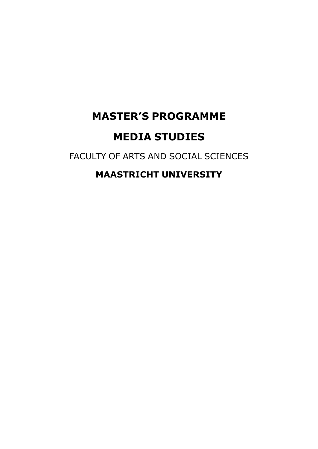# **MASTER'S PROGRAMME MEDIA STUDIES** FACULTY OF ARTS AND SOCIAL SCIENCES

# **MAASTRICHT UNIVERSITY**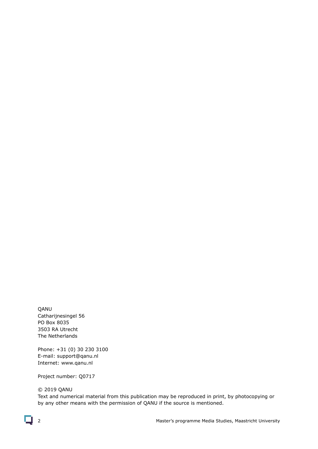QANU Catharijnesingel 56 PO Box 8035 3503 RA Utrecht The Netherlands

Phone: +31 (0) 30 230 3100 E-mail: support@qanu.nl Internet: www.qanu.nl

Project number: Q0717

#### © 2019 QANU

Text and numerical material from this publication may be reproduced in print, by photocopying or by any other means with the permission of QANU if the source is mentioned.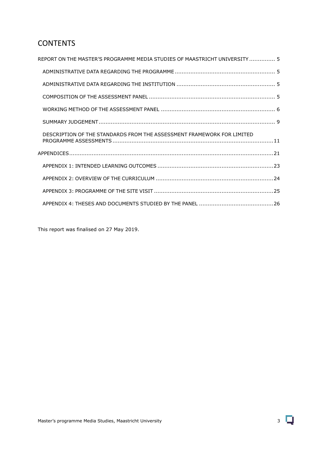# **CONTENTS**

| REPORT ON THE MASTER'S PROGRAMME MEDIA STUDIES OF MAASTRICHT UNIVERSITY  5 |
|----------------------------------------------------------------------------|
|                                                                            |
|                                                                            |
|                                                                            |
|                                                                            |
|                                                                            |
| DESCRIPTION OF THE STANDARDS FROM THE ASSESSMENT FRAMEWORK FOR LIMITED     |
|                                                                            |
|                                                                            |
|                                                                            |
|                                                                            |
|                                                                            |

This report was finalised on 27 May 2019.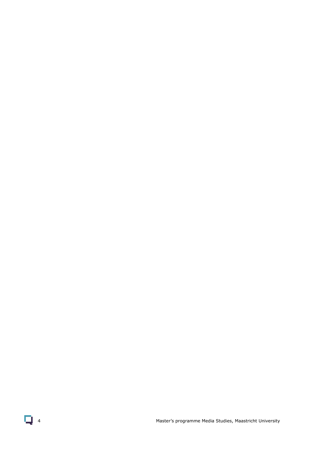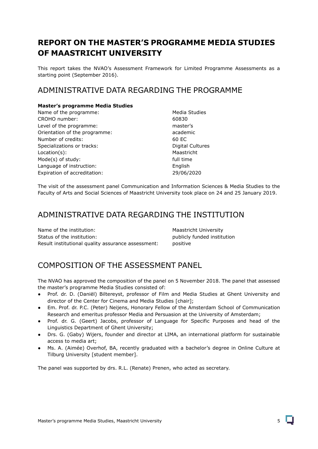# <span id="page-4-0"></span>**REPORT ON THE MASTER'S PROGRAMME MEDIA STUDIES OF MAASTRICHT UNIVERSITY**

This report takes the NVAO's Assessment Framework for Limited Programme Assessments as a starting point (September 2016).

### <span id="page-4-1"></span>ADMINISTRATIVE DATA REGARDING THE PROGRAMME

### **Master's programme Media Studies**

Name of the programme: Media Studies CROHO number: 60830 Level of the programme: master's Orientation of the programme: academic Number of credits: 60 EC Specializations or tracks: Specializations of tracks: Location(s): Maastricht Mode(s) of study: The study: the study of study: Language of instruction: English Expiration of accreditation: 29/06/2020

The visit of the assessment panel Communication and Information Sciences & Media Studies to the Faculty of Arts and Social Sciences of Maastricht University took place on 24 and 25 January 2019.

# <span id="page-4-2"></span>ADMINISTRATIVE DATA REGARDING THE INSTITUTION

Name of the institution: Maastricht University Status of the institution: example in the institution of the institution of the institution of the institution Result institutional quality assurance assessment: positive

# <span id="page-4-3"></span>COMPOSITION OF THE ASSESSMENT PANEL

The NVAO has approved the composition of the panel on 5 November 2018. The panel that assessed the master's programme Media Studies consisted of:

- Prof. dr. D. (Daniël) Biltereyst, professor of Film and Media Studies at Ghent University and director of the Center for Cinema and Media Studies [chair];
- Em. Prof. dr. P.C. (Peter) Neijens, Honorary Fellow of the Amsterdam School of Communication Research and emeritus professor Media and Persuasion at the University of Amsterdam;
- Prof. dr. G. (Geert) Jacobs, professor of Language for Specific Purposes and head of the Linguistics Department of Ghent University;
- Drs. G. (Gaby) Wijers, founder and director at LIMA, an international platform for sustainable access to media art;
- Ms. A. (Aimée) Overhof, BA, recently graduated with a bachelor's degree in Online Culture at Tilburg University [student member].

<span id="page-4-4"></span>The panel was supported by drs. R.L. (Renate) Prenen, who acted as secretary.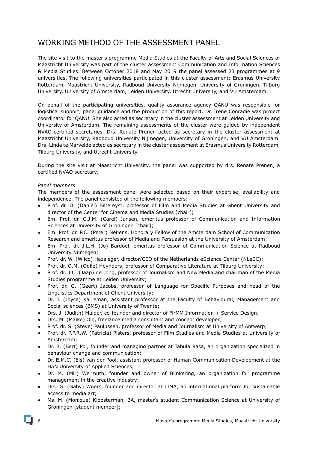# WORKING METHOD OF THE ASSESSMENT PANEL

The site visit to the master's programme Media Studies at the Faculty of Arts and Social Sciences of Maastricht University was part of the cluster assessment Communication and Information Sciences & Media Studies. Between October 2018 and May 2019 the panel assessed 23 programmes at 9 universities. The following universities participated in this cluster assessment: Erasmus University Rotterdam, Maastricht University, Radboud University Nijmegen, University of Groningen, Tilburg University, University of Amsterdam, Leiden University, Utrecht University, and VU Amsterdam.

On behalf of the participating universities, quality assurance agency QANU was responsible for logistical support, panel guidance and the production of this report. Dr. Irene Conradie was project coordinator for QANU. She also acted as secretary in the cluster assessment at Leiden University and University of Amsterdam. The remaining assessments of the cluster were guided by independent NVAO-certified secretaries. Drs. Renate Prenen acted as secretary in the cluster assessment at Maastricht University, Radboud University Nijmegen, University of Groningen, and VU Amsterdam. Drs. Linda te Marvelde acted as secretary in the cluster assessment at Erasmus University Rotterdam, Tilburg University, and Utrecht University.

During the site visit at Maastricht University, the panel was supported by drs. Renate Prenen, a certified NVAO secretary.

### *Panel members*

The members of the assessment panel were selected based on their expertise, availability and independence. The panel consisted of the following members:

- Prof. dr. D. (Daniël) Biltereyst, professor of Film and Media Studies at Ghent University and director of the Center for Cinema and Media Studies [chair];
- Em. Prof. dr. C.J.M. (Carel) Jansen, emeritus professor of Communication and Information Sciences at University of Groningen [chair];
- Em. Prof. dr. P.C. (Peter) Neijens, Honorary Fellow of the Amsterdam School of Communication Research and emeritus professor of Media and Persuasion at the University of Amsterdam;
- Em. Prof. dr. J.L.H. (Jo) Bardoel, emeritus professor of Communication Science at Radboud University Nijmegen;
- Prof. dr. W. (Wilco) Hazeleger, director/CEO of the Netherlands eScience Center (NLeSC);
- Prof. dr. O.M. (Odile) Heynders, professor of Comparative Literature at Tilburg University;
- Prof. dr. J.C. (Jaap) de Jong, professor of Journalism and New Media and chairman of the Media Studies programme at Leiden University;
- Prof. dr. G. (Geert) Jacobs, professor of Language for Specific Purposes and head of the Linguistics Department of Ghent University;
- Dr. J. (Joyce) Karreman, assistant professor at the Faculty of Behavioural, Management and Social sciences (BMS) at University of Twente;
- Drs. J. (Judith) Mulder, co-founder and director of FirMM Information + Service Design;
- Drs. M. (Maike) Olij, freelance media consultant and concept developer;
- Prof. dr. S. (Steve) Paulussen, professor of Media and Journalism at University of Antwerp;
- Prof. dr. P.P.R.W. (Patricia) Pisters, professor of Film Studies and Media Studies at University of Amsterdam;
- Dr. B. (Bert) Pol, founder and managing partner at Tabula Rasa, an organization specialized in behaviour change and communication;
- Dr. E.M.C. (Els) van der Pool, assistant professor of Human Communication Development at the HAN University of Applied Sciences;
- Dr. M. (Mir) Wermuth, founder and owner of Blinkering, an organization for programme management in the creative industry;
- Drs. G. (Gaby) Wijers, founder and director at LIMA, an international platform for sustainable access to media art;
- Ms. M. (Monique) Kloosterman, BA, master's student Communication Science at University of Groningen [student member];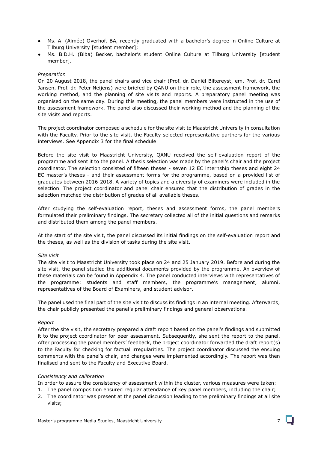- Ms. A. (Aimée) Overhof, BA, recently graduated with a bachelor's degree in Online Culture at Tilburg University [student member];
- Ms. B.D.H. (Biba) Becker, bachelor's student Online Culture at Tilburg University [student member].

#### *Preparation*

On 20 August 2018, the panel chairs and vice chair (Prof. dr. Daniël Biltereyst, em. Prof. dr. Carel Jansen, Prof. dr. Peter Neijens) were briefed by QANU on their role, the assessment framework, the working method, and the planning of site visits and reports. A preparatory panel meeting was organised on the same day. During this meeting, the panel members were instructed in the use of the assessment framework. The panel also discussed their working method and the planning of the site visits and reports.

The project coordinator composed a schedule for the site visit to Maastricht University in consultation with the Faculty. Prior to the site visit, the Faculty selected representative partners for the various interviews. See Appendix 3 for the final schedule.

Before the site visit to Maastricht University, QANU received the self-evaluation report of the programme and sent it to the panel. A thesis selection was made by the panel's chair and the project coordinator. The selection consisted of fifteen theses - seven 12 EC internship theses and eight 24 EC master's theses - and their assessment forms for the programme, based on a provided list of graduates between 2016-2018. A variety of topics and a diversity of examiners were included in the selection. The project coordinator and panel chair ensured that the distribution of grades in the selection matched the distribution of grades of all available theses.

After studying the self-evaluation report, theses and assessment forms, the panel members formulated their preliminary findings. The secretary collected all of the initial questions and remarks and distributed them among the panel members.

At the start of the site visit, the panel discussed its initial findings on the self-evaluation report and the theses, as well as the division of tasks during the site visit.

#### *Site visit*

The site visit to Maastricht University took place on 24 and 25 January 2019. Before and during the site visit, the panel studied the additional documents provided by the programme. An overview of these materials can be found in Appendix 4. The panel conducted interviews with representatives of the programme: students and staff members, the programme's management, alumni, representatives of the Board of Examiners, and student advisor.

The panel used the final part of the site visit to discuss its findings in an internal meeting. Afterwards, the chair publicly presented the panel's preliminary findings and general observations.

#### *Report*

After the site visit, the secretary prepared a draft report based on the panel's findings and submitted it to the project coordinator for peer assessment. Subsequently, she sent the report to the panel. After processing the panel members' feedback, the project coordinator forwarded the draft report(s) to the Faculty for checking for factual irregularities. The project coordinator discussed the ensuing comments with the panel's chair, and changes were implemented accordingly. The report was then finalised and sent to the Faculty and Executive Board.

#### *Consistency and calibration*

In order to assure the consistency of assessment within the cluster, various measures were taken:

- 1. The panel composition ensured regular attendance of key panel members, including the chair;
- 2. The coordinator was present at the panel discussion leading to the preliminary findings at all site visits;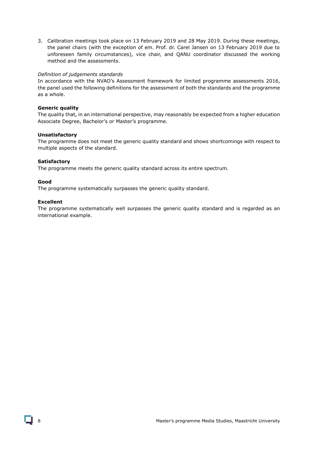3. Calibration meetings took place on 13 February 2019 and 28 May 2019. During these meetings, the panel chairs (with the exception of em. Prof. dr. Carel Jansen on 13 February 2019 due to unforeseen family circumstances), vice chair, and QANU coordinator discussed the working method and the assessments.

#### *Definition of judgements standards*

In accordance with the NVAO's Assessment framework for limited programme assessments 2016, the panel used the following definitions for the assessment of both the standards and the programme as a whole.

#### **Generic quality**

The quality that, in an international perspective, may reasonably be expected from a higher education Associate Degree, Bachelor's or Master's programme.

#### **Unsatisfactory**

The programme does not meet the generic quality standard and shows shortcomings with respect to multiple aspects of the standard.

#### **Satisfactory**

The programme meets the generic quality standard across its entire spectrum.

#### **Good**

The programme systematically surpasses the generic quality standard.

#### **Excellent**

The programme systematically well surpasses the generic quality standard and is regarded as an international example.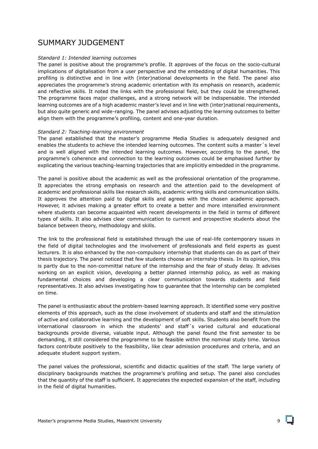### <span id="page-8-0"></span>SUMMARY JUDGEMENT

#### *Standard 1: Intended learning outcomes*

The panel is positive about the programme's profile. It approves of the focus on the socio-cultural implications of digitalisation from a user perspective and the embedding of digital humanities. This profiling is distinctive and in line with (inter)national developments in the field. The panel also appreciates the programme's strong academic orientation with its emphasis on research, academic and reflective skills. It noted the links with the professional field, but they could be strengthened. The programme faces major challenges, and a strong network will be indispensable. The intended learning outcomes are of a high academic master's level and in line with (inter)national requirements, but also quite generic and wide-ranging. The panel advises adjusting the learning outcomes to better align them with the programme's profiling, content and one-year duration.

#### *Standard 2: Teaching-learning environment*

The panel established that the master's programme Media Studies is adequately designed and enables the students to achieve the intended learning outcomes. The content suits a master´s level and is well aligned with the intended learning outcomes. However, according to the panel, the programme's coherence and connection to the learning outcomes could be emphasised further by explicating the various teaching-learning trajectories that are implicitly embedded in the programme.

The panel is positive about the academic as well as the professional orientation of the programme. It appreciates the strong emphasis on research and the attention paid to the development of academic and professional skills like research skills, academic writing skills and communication skills. It approves the attention paid to digital skills and agrees with the chosen academic approach. However, it advises making a greater effort to create a better and more intensified environment where students can become acquainted with recent developments in the field in terms of different types of skills. It also advises clear communication to current and prospective students about the balance between theory, methodology and skills.

The link to the professional field is established through the use of real-life contemporary issues in the field of digital technologies and the involvement of professionals and field experts as guest lecturers. It is also enhanced by the non-compulsory internship that students can do as part of their thesis trajectory. The panel noticed that few students choose an internship thesis. In its opinion, this is partly due to the non-committal nature of the internship and the fear of study delay. It advises working on an explicit vision, developing a better planned internship policy, as well as making fundamental choices and developing a clear communication towards students and field representatives. It also advises investigating how to guarantee that the internship can be completed on time.

The panel is enthusiastic about the problem-based learning approach. It identified some very positive elements of this approach, such as the close involvement of students and staff and the stimulation of active and collaborative learning and the development of soft skills. Students also benefit from the international classroom in which the students' and staff´s varied cultural and educational backgrounds provide diverse, valuable input. Although the panel found the first semester to be demanding, it still considered the programme to be feasible within the nominal study time. Various factors contribute positively to the feasibility, like clear admission procedures and criteria, and an adequate student support system.

The panel values the professional, scientific and didactic qualities of the staff. The large variety of disciplinary backgrounds matches the programme's profiling and setup. The panel also concludes that the quantity of the staff is sufficient. It appreciates the expected expansion of the staff, including in the field of digital humanities.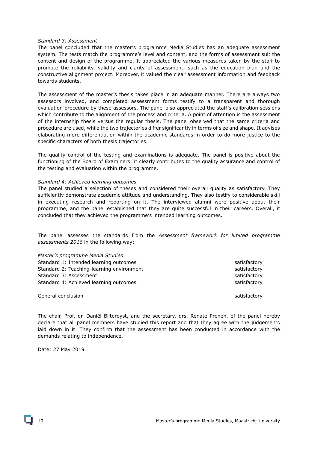#### *Standard 3: Assessment*

The panel concluded that the master's programme Media Studies has an adequate assessment system. The tests match the programme's level and content, and the forms of assessment suit the content and design of the programme. It appreciated the various measures taken by the staff to promote the reliability, validity and clarity of assessment, such as the education plan and the constructive alignment project. Moreover, it valued the clear assessment information and feedback towards students.

The assessment of the master's thesis takes place in an adequate manner. There are always two assessors involved, and completed assessment forms testify to a transparent and thorough evaluation procedure by these assessors. The panel also appreciated the staff's calibration sessions which contribute to the alignment of the process and criteria. A point of attention is the assessment of the internship thesis versus the regular thesis. The panel observed that the same criteria and procedure are used, while the two trajectories differ significantly in terms of size and shape. It advises elaborating more differentiation within the academic standards in order to do more justice to the specific characters of both thesis trajectories.

The quality control of the testing and examinations is adequate. The panel is positive about the functioning of the Board of Examiners: it clearly contributes to the quality assurance and control of the testing and evaluation within the programme.

#### *Standard 4: Achieved learning outcomes*

The panel studied a selection of theses and considered their overall quality as satisfactory. They sufficiently demonstrate academic attitude and understanding. They also testify to considerable skill in executing research and reporting on it. The interviewed alumni were positive about their programme, and the panel established that they are quite successful in their careers. Overall, it concluded that they achieved the programme's intended learning outcomes.

The panel assesses the standards from the *Assessment framework for limited programme assessments 2016* in the following way:

| Master's programme Media Studies          |              |
|-------------------------------------------|--------------|
| Standard 1: Intended learning outcomes    | satisfactory |
| Standard 2: Teaching-learning environment | satisfactory |
| Standard 3: Assessment                    | satisfactory |
| Standard 4: Achieved learning outcomes    | satisfactory |
| General conclusion                        | satisfactory |

The chair, Prof. dr. Daniël Biltereyst, and the secretary, drs. Renate Prenen, of the panel hereby declare that all panel members have studied this report and that they agree with the judgements laid down in it. They confirm that the assessment has been conducted in accordance with the demands relating to independence.

Date: 27 May 2019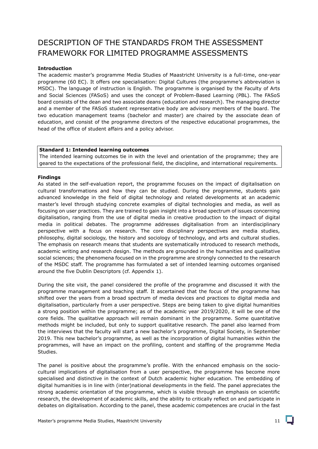# <span id="page-10-0"></span>DESCRIPTION OF THE STANDARDS FROM THE ASSESSMENT FRAMEWORK FOR LIMITED PROGRAMME ASSESSMENTS

### **Introduction**

The academic master's programme Media Studies of Maastricht University is a full-time, one-year programme (60 EC). It offers one specialisation: Digital Cultures (the programme's abbreviation is MSDC). The language of instruction is English. The programme is organised by the Faculty of Arts and Social Sciences (FASoS) and uses the concept of Problem-Based Learning (PBL). The FASoS board consists of the dean and two associate deans (education and research). The managing director and a member of the FASoS student representative body are advisory members of the board. The two education management teams (bachelor and master) are chaired by the associate dean of education, and consist of the programme directors of the respective educational programmes, the head of the office of student affairs and a policy advisor.

### **Standard 1: Intended learning outcomes**

The intended learning outcomes tie in with the level and orientation of the programme; they are geared to the expectations of the professional field, the discipline, and international requirements.

#### **Findings**

As stated in the self-evaluation report, the programme focuses on the impact of digitalisation on cultural transformations and how they can be studied. During the programme, students gain advanced knowledge in the field of digital technology and related developments at an academic master's level through studying concrete examples of digital technologies and media, as well as focusing on user practices. They are trained to gain insight into a broad spectrum of issues concerning digitalisation, ranging from the use of digital media in creative production to the impact of digital media in political debates. The programme addresses digitalisation from an interdisciplinary perspective with a focus on research. The core disciplinary perspectives are media studies, philosophy, digital sociology, the history and sociology of technology, and arts and cultural studies. The emphasis on research means that students are systematically introduced to research methods, academic writing and research design. The methods are grounded in the humanities and qualitative social sciences; the phenomena focused on in the programme are strongly connected to the research of the MSDC staff. The programme has formulated a set of intended learning outcomes organised around the five Dublin Descriptors (cf. Appendix 1).

During the site visit, the panel considered the profile of the programme and discussed it with the programme management and teaching staff. It ascertained that the focus of the programme has shifted over the years from a broad spectrum of media devices and practices to digital media and digitalisation, particularly from a user perspective. Steps are being taken to give digital humanities a strong position within the programme; as of the academic year 2019/2020, it will be one of the core fields. The qualitative approach will remain dominant in the programme. Some quantitative methods might be included, but only to support qualitative research. The panel also learned from the interviews that the faculty will start a new bachelor's programme, Digital Society, in September 2019. This new bachelor's programme, as well as the incorporation of digital humanities within the programmes, will have an impact on the profiling, content and staffing of the programme Media Studies.

The panel is positive about the programme's profile. With the enhanced emphasis on the sociocultural implications of digitalisation from a user perspective, the programme has become more specialised and distinctive in the context of Dutch academic higher education. The embedding of digital humanities is in line with (inter)national developments in the field. The panel appreciates the strong academic orientation of the programme, which is visible through an emphasis on scientific research, the development of academic skills, and the ability to critically reflect on and participate in debates on digitalisation. According to the panel, these academic competences are crucial in the fast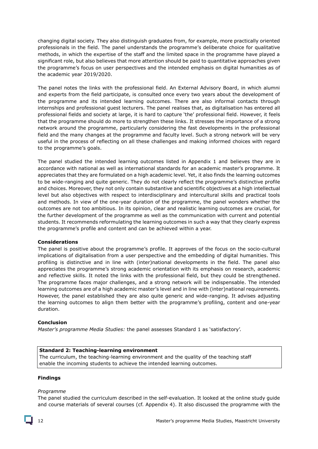changing digital society. They also distinguish graduates from, for example, more practically oriented professionals in the field. The panel understands the programme's deliberate choice for qualitative methods, in which the expertise of the staff and the limited space in the programme have played a significant role, but also believes that more attention should be paid to quantitative approaches given the programme's focus on user perspectives and the intended emphasis on digital humanities as of the academic year 2019/2020.

The panel notes the links with the professional field. An External Advisory Board, in which alumni and experts from the field participate, is consulted once every two years about the development of the programme and its intended learning outcomes. There are also informal contacts through internships and professional guest lecturers. The panel realises that, as digitalisation has entered all professional fields and society at large, it is hard to capture 'the' professional field. However, it feels that the programme should do more to strengthen these links. It stresses the importance of a strong network around the programme, particularly considering the fast developments in the professional field and the many changes at the programme and faculty level. Such a strong network will be very useful in the process of reflecting on all these challenges and making informed choices with regard to the programme's goals.

The panel studied the intended learning outcomes listed in Appendix 1 and believes they are in accordance with national as well as international standards for an academic master's programme. It appreciates that they are formulated on a high academic level. Yet, it also finds the learning outcomes to be wide-ranging and quite generic. They do not clearly reflect the programme's distinctive profile and choices. Moreover, they not only contain substantive and scientific objectives at a high intellectual level but also objectives with respect to interdisciplinary and intercultural skills and practical tools and methods. In view of the one-year duration of the programme, the panel wonders whether the outcomes are not too ambitious. In its opinion, clear and realistic learning outcomes are crucial, for the further development of the programme as well as the communication with current and potential students. It recommends reformulating the learning outcomes in such a way that they clearly express the programme's profile and content and can be achieved within a year.

### **Considerations**

The panel is positive about the programme's profile. It approves of the focus on the socio-cultural implications of digitalisation from a user perspective and the embedding of digital humanities. This profiling is distinctive and in line with (inter)national developments in the field. The panel also appreciates the programme's strong academic orientation with its emphasis on research, academic and reflective skills. It noted the links with the professional field, but they could be strengthened. The programme faces major challenges, and a strong network will be indispensable. The intended learning outcomes are of a high academic master's level and in line with (inter)national requirements. However, the panel established they are also quite generic and wide-ranging. It advises adjusting the learning outcomes to align them better with the programme's profiling, content and one-year duration.

### **Conclusion**

*Master's programme Media Studies:* the panel assesses Standard 1 as 'satisfactory'.

#### **Standard 2: Teaching-learning environment**

The curriculum, the teaching-learning environment and the quality of the teaching staff enable the incoming students to achieve the intended learning outcomes.

#### **Findings**

#### *Programme*

The panel studied the curriculum described in the self-evaluation. It looked at the online study guide and course materials of several courses (cf. Appendix 4). It also discussed the programme with the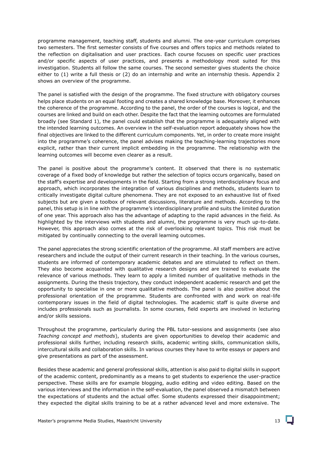programme management, teaching staff, students and alumni. The one-year curriculum comprises two semesters. The first semester consists of five courses and offers topics and methods related to the reflection on digitalisation and user practices. Each course focuses on specific user practices and/or specific aspects of user practices, and presents a methodology most suited for this investigation. Students all follow the same courses. The second semester gives students the choice either to (1) write a full thesis or (2) do an internship and write an internship thesis. Appendix 2 shows an overview of the programme.

The panel is satisfied with the design of the programme. The fixed structure with obligatory courses helps place students on an equal footing and creates a shared knowledge base. Moreover, it enhances the coherence of the programme. According to the panel, the order of the courses is logical, and the courses are linked and build on each other. Despite the fact that the learning outcomes are formulated broadly (see Standard 1), the panel could establish that the programme is adequately aligned with the intended learning outcomes. An overview in the self-evaluation report adequately shows how the final objectives are linked to the different curriculum components. Yet, in order to create more insight into the programme's coherence, the panel advises making the teaching-learning trajectories more explicit, rather than their current implicit embedding in the programme. The relationship with the learning outcomes will become even clearer as a result.

The panel is positive about the programme's content. It observed that there is no systematic coverage of a fixed body of knowledge but rather the selection of topics occurs organically, based on the staff's expertise and developments in the field. Starting from a strong interdisciplinary focus and approach, which incorporates the integration of various disciplines and methods, students learn to critically investigate digital culture phenomena. They are not exposed to an exhaustive list of fixed subjects but are given a toolbox of relevant discussions, literature and methods. According to the panel, this setup is in line with the programme's interdisciplinary profile and suits the limited duration of one year. This approach also has the advantage of adapting to the rapid advances in the field. As highlighted by the interviews with students and alumni, the programme is very much up-to-date. However, this approach also comes at the risk of overlooking relevant topics. This risk must be mitigated by continually connecting to the overall learning outcomes.

The panel appreciates the strong scientific orientation of the programme. All staff members are active researchers and include the output of their current research in their teaching. In the various courses, students are informed of contemporary academic debates and are stimulated to reflect on them. They also become acquainted with qualitative research designs and are trained to evaluate the relevance of various methods. They learn to apply a limited number of qualitative methods in the assignments. During the thesis trajectory, they conduct independent academic research and get the opportunity to specialise in one or more qualitative methods. The panel is also positive about the professional orientation of the programme. Students are confronted with and work on real-life contemporary issues in the field of digital technologies. The academic staff is quite diverse and includes professionals such as journalists. In some courses, field experts are involved in lecturing and/or skills sessions.

Throughout the programme, particularly during the PBL tutor-sessions and assignments (see also *Teaching concept and methods*), students are given opportunities to develop their academic and professional skills further, including research skills, academic writing skills, communication skills, intercultural skills and collaboration skills. In various courses they have to write essays or papers and give presentations as part of the assessment.

Besides these academic and general professional skills, attention is also paid to digital skills in support of the academic content, predominantly as a means to get students to experience the user-practice perspective. These skills are for example blogging, audio editing and video editing. Based on the various interviews and the information in the self-evaluation, the panel observed a mismatch between the expectations of students and the actual offer. Some students expressed their disappointment; they expected the digital skills training to be at a rather advanced level and more extensive. The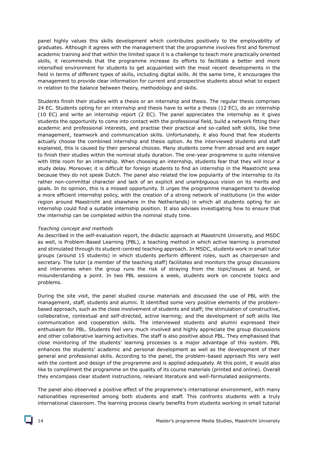panel highly values this skills development which contributes positively to the employability of graduates. Although it agrees with the management that the programme involves first and foremost academic training and that within the limited space it is a challenge to teach more practically oriented skills, it recommends that the programme increase its efforts to facilitate a better and more intensified environment for students to get acquainted with the most recent developments in the field in terms of different types of skills, including digital skills. At the same time, it encourages the management to provide clear information for current and prospective students about what to expect in relation to the balance between theory, methodology and skills.

Students finish their studies with a thesis or an internship and thesis. The regular thesis comprises 24 EC. Students opting for an internship and thesis have to write a thesis (12 EC), do an internship (10 EC) and write an internship report (2 EC). The panel appreciates the internship as it gives students the opportunity to come into contact with the professional field, build a network fitting their academic and professional interests, and practise their practical and so-called soft skills, like time management, teamwork and communication skills. Unfortunately, it also found that few students actually choose the combined internship and thesis option. As the interviewed students and staff explained, this is caused by their personal choices. Many students come from abroad and are eager to finish their studies within the nominal study duration. The one-year programme is quite intensive with little room for an internship. When choosing an internship, students fear that they will incur a study delay. Moreover, it is difficult for foreign students to find an internship in the Maastricht area because they do not speak Dutch. The panel also related the low popularity of the internship to its rather non-committal character and lack of an explicit and unambiguous vision on its merits and goals. In its opinion, this is a missed opportunity. It urges the programme management to develop a more efficient internship policy, with the creation of a strong network of institutions (in the wider region around Maastricht and elsewhere in the Netherlands) in which all students opting for an internship could find a suitable internship position. It also advises investigating how to ensure that the internship can be completed within the nominal study time.

#### *Teaching concept and methods*

As described in the self-evaluation report, the didactic approach at Maastricht University, and MSDC as well, is Problem-Based Learning (PBL), a teaching method in which active learning is promoted and stimulated through its student-centred teaching approach. In MSDC, students work in small tutor groups (around 15 students) in which students perform different roles, such as chairperson and secretary. The tutor (a member of the teaching staff) facilitates and monitors the group discussions and intervenes when the group runs the risk of straying from the topic/issues at hand, or misunderstanding a point. In two PBL sessions a week, students work on concrete topics and problems.

During the site visit, the panel studied course materials and discussed the use of PBL with the management, staff, students and alumni. It identified some very positive elements of the problembased approach, such as the close involvement of students and staff; the stimulation of constructive, collaborative, contextual and self-directed, active learning; and the development of soft skills like communication and cooperation skills. The interviewed students and alumni expressed their enthusiasm for PBL. Students feel very much involved and highly appreciate the group discussions and other collaborative learning activities. The staff is also positive about PBL. They emphasised that close monitoring of the students' learning processes is a major advantage of this system. PBL enhances the students' academic and personal development as well as the development of their general and professional skills. According to the panel, the problem-based approach fits very well with the content and design of the programme and is applied adequately. At this point, it would also like to compliment the programme on the quality of its course materials (printed and online). Overall they encompass clear student instructions, relevant literature and well-formulated assignments.

The panel also observed a positive effect of the programme's international environment, with many nationalities represented among both students and staff. This confronts students with a truly international classroom. The learning process clearly benefits from students working in small tutorial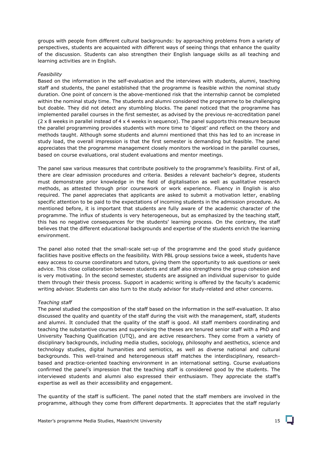groups with people from different cultural backgrounds: by approaching problems from a variety of perspectives, students are acquainted with different ways of seeing things that enhance the quality of the discussion. Students can also strengthen their English language skills as all teaching and learning activities are in English.

#### *Feasibility*

Based on the information in the self-evaluation and the interviews with students, alumni, teaching staff and students, the panel established that the programme is feasible within the nominal study duration. One point of concern is the above-mentioned risk that the internship cannot be completed within the nominal study time. The students and alumni considered the programme to be challenging but doable. They did not detect any stumbling blocks. The panel noticed that the programme has implemented parallel courses in the first semester, as advised by the previous re-accreditation panel (2 x 8 weeks in parallel instead of 4 x 4 weeks in sequence). The panel supports this measure because the parallel programming provides students with more time to 'digest' and reflect on the theory and methods taught. Although some students and alumni mentioned that this has led to an increase in study load, the overall impression is that the first semester is demanding but feasible. The panel appreciates that the programme management closely monitors the workload in the parallel courses, based on course evaluations, oral student evaluations and mentor meetings.

The panel saw various measures that contribute positively to the programme's feasibility. First of all, there are clear admission procedures and criteria. Besides a relevant bachelor's degree, students must demonstrate prior knowledge in the field of digitalisation as well as qualitative research methods, as attested through prior coursework or work experience. Fluency in English is also required. The panel appreciates that applicants are asked to submit a motivation letter, enabling specific attention to be paid to the expectations of incoming students in the admission procedure. As mentioned before, it is important that students are fully aware of the academic character of the programme. The influx of students is very heterogeneous, but as emphasized by the teaching staff, this has no negative consequences for the students' learning process. On the contrary, the staff believes that the different educational backgrounds and expertise of the students enrich the learning environment.

The panel also noted that the small-scale set-up of the programme and the good study guidance facilities have positive effects on the feasibility. With PBL group sessions twice a week, students have easy access to course coordinators and tutors, giving them the opportunity to ask questions or seek advice. This close collaboration between students and staff also strengthens the group cohesion and is very motivating. In the second semester, students are assigned an individual supervisor to guide them through their thesis process. Support in academic writing is offered by the faculty's academic writing advisor. Students can also turn to the study advisor for study-related and other concerns.

#### *Teaching staff*

The panel studied the composition of the staff based on the information in the self-evaluation. It also discussed the quality and quantity of the staff during the visit with the management, staff, students and alumni. It concluded that the quality of the staff is good. All staff members coordinating and teaching the substantive courses and supervising the theses are tenured senior staff with a PhD and University Teaching Qualification (UTQ), and are active researchers. They come from a variety of disciplinary backgrounds, including media studies, sociology, philosophy and aesthetics, science and technology studies, digital humanities and semiotics, as well as diverse national and cultural backgrounds. This well-trained and heterogeneous staff matches the interdisciplinary, researchbased and practice-oriented teaching environment in an international setting. Course evaluations confirmed the panel's impression that the teaching staff is considered good by the students. The interviewed students and alumni also expressed their enthusiasm. They appreciate the staff's expertise as well as their accessibility and engagement.

The quantity of the staff is sufficient. The panel noted that the staff members are involved in the programme, although they come from different departments. It appreciates that the staff regularly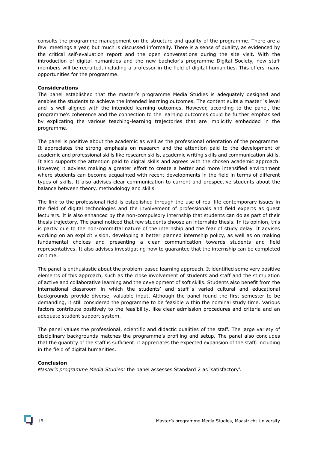consults the programme management on the structure and quality of the programme. There are a few meetings a year, but much is discussed informally. There is a sense of quality, as evidenced by the critical self-evaluation report and the open conversations during the site visit. With the introduction of digital humanities and the new bachelor's programme Digital Society, new staff members will be recruited, including a professor in the field of digital humanities. This offers many opportunities for the programme.

#### **Considerations**

The panel established that the master's programme Media Studies is adequately designed and enables the students to achieve the intended learning outcomes. The content suits a master´s level and is well aligned with the intended learning outcomes. However, according to the panel, the programme's coherence and the connection to the learning outcomes could be further emphasised by explicating the various teaching-learning trajectories that are implicitly embedded in the programme.

The panel is positive about the academic as well as the professional orientation of the programme. It appreciates the strong emphasis on research and the attention paid to the development of academic and professional skills like research skills, academic writing skills and communication skills. It also supports the attention paid to digital skills and agrees with the chosen academic approach. However, it advises making a greater effort to create a better and more intensified environment where students can become acquainted with recent developments in the field in terms of different types of skills. It also advises clear communication to current and prospective students about the balance between theory, methodology and skills.

The link to the professional field is established through the use of real-life contemporary issues in the field of digital technologies and the involvement of professionals and field experts as guest lecturers. It is also enhanced by the non-compulsory internship that students can do as part of their thesis trajectory. The panel noticed that few students choose an internship thesis. In its opinion, this is partly due to the non-committal nature of the internship and the fear of study delay. It advises working on an explicit vision, developing a better planned internship policy, as well as on making fundamental choices and presenting a clear communication towards students and field representatives. It also advises investigating how to guarantee that the internship can be completed on time.

The panel is enthusiastic about the problem-based learning approach. It identified some very positive elements of this approach, such as the close involvement of students and staff and the stimulation of active and collaborative learning and the development of soft skills. Students also benefit from the international classroom in which the students' and staff´s varied cultural and educational backgrounds provide diverse, valuable input. Although the panel found the first semester to be demanding, it still considered the programme to be feasible within the nominal study time. Various factors contribute positively to the feasibility, like clear admission procedures and criteria and an adequate student support system.

The panel values the professional, scientific and didactic qualities of the staff. The large variety of disciplinary backgrounds matches the programme's profiling and setup. The panel also concludes that the quantity of the staff is sufficient. it appreciates the expected expansion of the staff, including in the field of digital humanities.

### **Conclusion**

*Master's programme Media Studies:* the panel assesses Standard 2 as 'satisfactory'.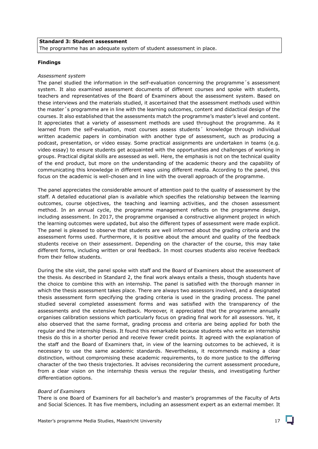#### **Standard 3: Student assessment** The programme has an adequate system of student assessment in place.

#### **Findings**

#### *Assessment system*

The panel studied the information in the self-evaluation concerning the programme´s assessment system. It also examined assessment documents of different courses and spoke with students, teachers and representatives of the Board of Examiners about the assessment system. Based on these interviews and the materials studied, it ascertained that the assessment methods used within the master´s programme are in line with the learning outcomes, content and didactical design of the courses. It also established that the assessments match the programme's master's level and content. It appreciates that a variety of assessment methods are used throughout the programme. As it learned from the self-evaluation, most courses assess students´ knowledge through individual written academic papers in combination with another type of assessment, such as producing a podcast, presentation, or video essay. Some practical assignments are undertaken in teams (e.g. video essay) to ensure students get acquainted with the opportunities and challenges of working in groups. Practical digital skills are assessed as well. Here, the emphasis is not on the technical quality of the end product, but more on the understanding of the academic theory and the capability of communicating this knowledge in different ways using different media. According to the panel, this focus on the academic is well-chosen and in line with the overall approach of the programme.

The panel appreciates the considerable amount of attention paid to the quality of assessment by the staff. A detailed educational plan is available which specifies the relationship between the learning outcomes, course objectives, the teaching and learning activities, and the chosen assessment method. In an annual cycle, the programme management reflects on the programme design, including assessment. In 2017, the programme organised a constructive alignment project in which the learning outcomes were updated, but also the different types of assessment were made explicit. The panel is pleased to observe that students are well informed about the grading criteria and the assessment forms used. Furthermore, it is positive about the amount and quality of the feedback students receive on their assessment. Depending on the character of the course, this may take different forms, including written or oral feedback. In most courses students also receive feedback from their fellow students.

During the site visit, the panel spoke with staff and the Board of Examiners about the assessment of the thesis. As described in Standard 2, the final work always entails a thesis, though students have the choice to combine this with an internship. The panel is satisfied with the thorough manner in which the thesis assessment takes place. There are always two assessors involved, and a designated thesis assessment form specifying the grading criteria is used in the grading process. The panel studied several completed assessment forms and was satisfied with the transparency of the assessments and the extensive feedback. Moreover, it appreciated that the programme annually organises calibration sessions which particularly focus on grading final work for all assessors. Yet, it also observed that the same format, grading process and criteria are being applied for both the regular and the internship thesis. It found this remarkable because students who write an internship thesis do this in a shorter period and receive fewer credit points. It agreed with the explanation of the staff and the Board of Examiners that, in view of the learning outcomes to be achieved, it is necessary to use the same academic standards. Nevertheless, it recommends making a clear distinction, without compromising these academic requirements, to do more justice to the differing character of the two thesis trajectories. It advises reconsidering the current assessment procedure, from a clear vision on the internship thesis versus the regular thesis, and investigating further differentiation options.

#### *Board of Examiners*

There is one Board of Examiners for all bachelor's and master's programmes of the Faculty of Arts and Social Sciences. It has five members, including an assessment expert as an external member. It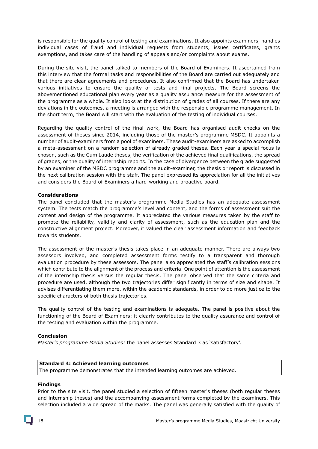is responsible for the quality control of testing and examinations. It also appoints examiners, handles individual cases of fraud and individual requests from students, issues certificates, grants exemptions, and takes care of the handling of appeals and/or complaints about exams.

During the site visit, the panel talked to members of the Board of Examiners. It ascertained from this interview that the formal tasks and responsibilities of the Board are carried out adequately and that there are clear agreements and procedures. It also confirmed that the Board has undertaken various initiatives to ensure the quality of tests and final projects. The Board screens the abovementioned educational plan every year as a quality assurance measure for the assessment of the programme as a whole. It also looks at the distribution of grades of all courses. If there are any deviations in the outcomes, a meeting is arranged with the responsible programme management. In the short term, the Board will start with the evaluation of the testing of individual courses.

Regarding the quality control of the final work, the Board has organised audit checks on the assessment of theses since 2014, including those of the master's programme MSDC. It appoints a number of audit-examiners from a pool of examiners. These audit-examiners are asked to accomplish a meta-assessment on a random selection of already graded theses. Each year a special focus is chosen, such as the Cum Laude theses, the verification of the achieved final qualifications, the spread of grades, or the quality of internship reports. In the case of divergence between the grade suggested by an examiner of the MSDC programme and the audit-examiner, the thesis or report is discussed in the next calibration session with the staff. The panel expressed its appreciation for all the initiatives and considers the Board of Examiners a hard-working and proactive board.

#### **Considerations**

The panel concluded that the master's programme Media Studies has an adequate assessment system. The tests match the programme's level and content, and the forms of assessment suit the content and design of the programme. It appreciated the various measures taken by the staff to promote the reliability, validity and clarity of assessment, such as the education plan and the constructive alignment project. Moreover, it valued the clear assessment information and feedback towards students.

The assessment of the master's thesis takes place in an adequate manner. There are always two assessors involved, and completed assessment forms testify to a transparent and thorough evaluation procedure by these assessors. The panel also appreciated the staff's calibration sessions which contribute to the alignment of the process and criteria. One point of attention is the assessment of the internship thesis versus the regular thesis. The panel observed that the same criteria and procedure are used, although the two trajectories differ significantly in terms of size and shape. It advises differentiating them more, within the academic standards, in order to do more justice to the specific characters of both thesis trajectories.

The quality control of the testing and examinations is adequate. The panel is positive about the functioning of the Board of Examiners: it clearly contributes to the quality assurance and control of the testing and evaluation within the programme.

#### **Conclusion**

*Master's programme Media Studies:* the panel assesses Standard 3 as 'satisfactory'.

#### **Standard 4: Achieved learning outcomes**

The programme demonstrates that the intended learning outcomes are achieved.

#### **Findings**

Prior to the site visit, the panel studied a selection of fifteen master's theses (both regular theses and internship theses) and the accompanying assessment forms completed by the examiners. This selection included a wide spread of the marks. The panel was generally satisfied with the quality of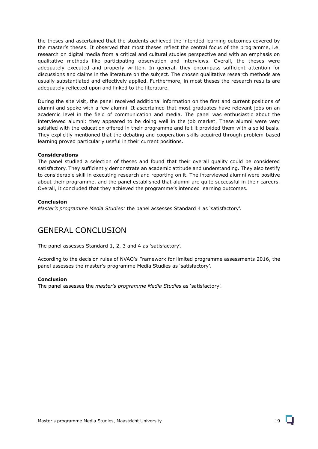the theses and ascertained that the students achieved the intended learning outcomes covered by the master's theses. It observed that most theses reflect the central focus of the programme, i.e. research on digital media from a critical and cultural studies perspective and with an emphasis on qualitative methods like participating observation and interviews. Overall, the theses were adequately executed and properly written. In general, they encompass sufficient attention for discussions and claims in the literature on the subject. The chosen qualitative research methods are usually substantiated and effectively applied. Furthermore, in most theses the research results are adequately reflected upon and linked to the literature.

During the site visit, the panel received additional information on the first and current positions of alumni and spoke with a few alumni. It ascertained that most graduates have relevant jobs on an academic level in the field of communication and media. The panel was enthusiastic about the interviewed alumni: they appeared to be doing well in the job market. These alumni were very satisfied with the education offered in their programme and felt it provided them with a solid basis. They explicitly mentioned that the debating and cooperation skills acquired through problem-based learning proved particularly useful in their current positions.

#### **Considerations**

The panel studied a selection of theses and found that their overall quality could be considered satisfactory. They sufficiently demonstrate an academic attitude and understanding. They also testify to considerable skill in executing research and reporting on it. The interviewed alumni were positive about their programme, and the panel established that alumni are quite successful in their careers. Overall, it concluded that they achieved the programme's intended learning outcomes.

#### **Conclusion**

*Master's programme Media Studies:* the panel assesses Standard 4 as 'satisfactory'.

# GENERAL CONCLUSION

The panel assesses Standard 1, 2, 3 and 4 as 'satisfactory'.

According to the decision rules of NVAO's Framework for limited programme assessments 2016, the panel assesses the master's programme Media Studies as 'satisfactory'.

### **Conclusion**

<span id="page-18-0"></span>The panel assesses the *master's programme Media Studies* as 'satisfactory'.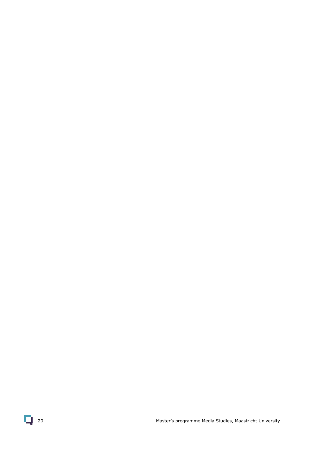Master's programme Media Studies, Maastricht University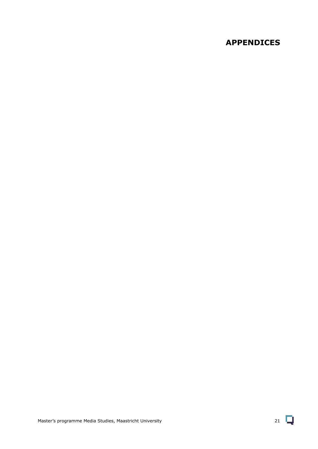# **APPENDICES**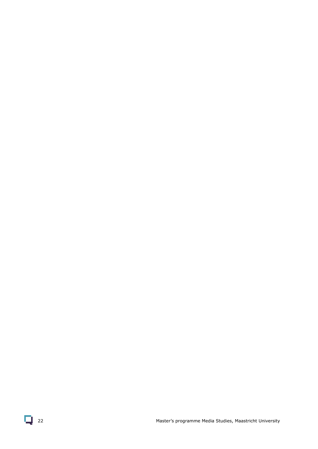22 Master's programme Media Studies, Maastricht University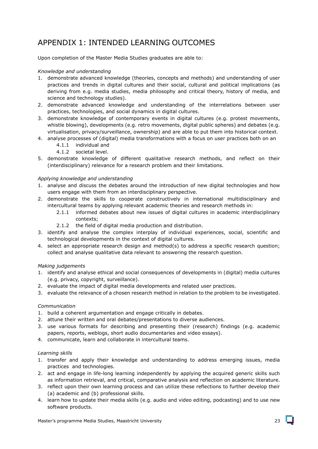# <span id="page-22-0"></span>APPENDIX 1: INTENDED LEARNING OUTCOMES

Upon completion of the Master Media Studies graduates are able to:

### *Knowledge and understanding*

- 1. demonstrate advanced knowledge (theories, concepts and methods) and understanding of user practices and trends in digital cultures and their social, cultural and political implications (as deriving from e.g. media studies, media philosophy and critical theory, history of media, and science and technology studies).
- 2. demonstrate advanced knowledge and understanding of the interrelations between user practices, technologies, and social dynamics in digital cultures.
- 3. demonstrate knowledge of contemporary events in digital cultures (e.g. protest movements, whistle blowing), developments (e.g. retro movements, digital public spheres) and debates (e.g. virtualisation, privacy/surveillance, ownership) and are able to put them into historical context.
- 4. analyse processes of (digital) media transformations with a focus on user practices both on an 4.1.1 individual and
	- 4.1.2 societal level.
- 5. demonstrate knowledge of different qualitative research methods, and reflect on their (interdisciplinary) relevance for a research problem and their limitations.

#### *Applying knowledge and understanding*

- 1. analyse and discuss the debates around the introduction of new digital technologies and how users engage with them from an interdisciplinary perspective.
- 2. demonstrate the skills to cooperate constructively in international multidisciplinary and intercultural teams by applying relevant academic theories and research methods in:
	- 2.1.1 informed debates about new issues of digital cultures in academic interdisciplinary contexts;
	- 2.1.2 the field of digital media production and distribution.
- 3. identify and analyse the complex interplay of individual experiences, social, scientific and technological developments in the context of digital cultures.
- 4. select an appropriate research design and method(s) to address a specific research question; collect and analyse qualitative data relevant to answering the research question.

#### *Making judgements*

- 1. identify and analyse ethical and social consequences of developments in (digital) media cultures (e.g. privacy, copyright, surveillance).
- 2. evaluate the impact of digital media developments and related user practices.
- 3. evaluate the relevance of a chosen research method in relation to the problem to be investigated.

#### *Communication*

- 1. build a coherent argumentation and engage critically in debates.
- 2. attune their written and oral debates/presentations to diverse audiences.
- 3. use various formats for describing and presenting their (research) findings (e.g. academic papers, reports, weblogs, short audio documentaries and video essays).
- 4. communicate, learn and collaborate in intercultural teams.

#### *Learning skills*

- 1. transfer and apply their knowledge and understanding to address emerging issues, media practices and technologies.
- 2. act and engage in life-long learning independently by applying the acquired generic skills such as information retrieval, and critical, comparative analysis and reflection on academic literature.
- 3. reflect upon their own learning process and can utilize these reflections to further develop their (a) academic and (b) professional skills.
- 4. learn how to update their media skills (e.g. audio and video editing, podcasting) and to use new software products.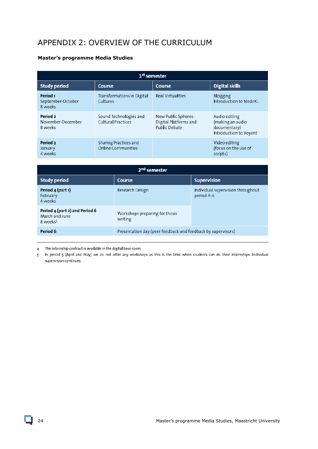# <span id="page-23-0"></span>APPENDIX 2: OVERVIEW OF THE CURRICULUM

### **Master's programme Media Studies**

| 1 <sup>st</sup> semester                            |                                                    |                                                               |                                                                             |
|-----------------------------------------------------|----------------------------------------------------|---------------------------------------------------------------|-----------------------------------------------------------------------------|
| <b>Study period</b>                                 | Course                                             | Course.                                                       | <b>Digital skills</b>                                                       |
| Period <sub>1</sub><br>September-October<br>8 weeks | Transformations in Digital<br>Cultures             | <b>Real Virtualities</b>                                      | <b>Blogging</b><br>Introduction to NodeXL                                   |
| Period <sub>2</sub><br>November-December<br>8 weeks | Sound Technologies and<br>Cultural Practices       | New Public Spheres:<br>Digital Platforms and<br>Public Debate | Audio editing<br>(making an audio<br>documentary)<br>Introduction to Voyant |
| Period 3<br>January<br>4 weeks                      | Sharing Practices and<br><b>Online Communities</b> |                                                               | Video editing<br>(focus on the use of<br>scripts)                           |

| 2 <sup>nd</sup> semester                                                 |                                                              |                                                 |  |
|--------------------------------------------------------------------------|--------------------------------------------------------------|-------------------------------------------------|--|
| <b>Study period</b>                                                      | Course                                                       | <b>Supervision</b>                              |  |
| Period 4 (part 1)<br>February<br>4 weeks                                 | Research Design                                              | Individual supervision throughout<br>period 4-6 |  |
| Period 4 (part 2) and Period 6<br>March and June<br>8 weeks <sup>5</sup> | Workshops preparing for thesis<br>writing                    |                                                 |  |
| Period 6                                                                 | Presentation day (peer feedback and feedback by supervisors) |                                                 |  |

The internship contract is available in the digital base room.  $\overline{4}$ 

In period 5 (April and May) we do not offer any workshops as this is the time when students can do their internships. Individual  $\overline{5}$ supervision continues.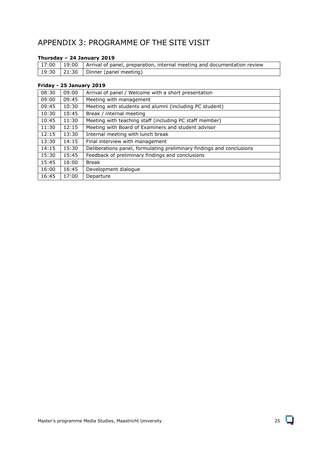# <span id="page-24-0"></span>APPENDIX 3: PROGRAMME OF THE SITE VISIT

### **Thursday – 24 January 2019**

|  |  | $\mid$ 17:00 $\mid$ 19:00 $\mid$ Arrival of panel, preparation, internal meeting and documentation review |
|--|--|-----------------------------------------------------------------------------------------------------------|
|  |  | 19:30   21:30   Dinner (panel meeting)                                                                    |

### **Friday - 25 January 2019**

| 08:30 | 09:00 | Arrival of panel / Welcome with a short presentation                  |
|-------|-------|-----------------------------------------------------------------------|
| 09:00 | 09:45 | Meeting with management                                               |
| 09:45 | 10:30 | Meeting with students and alumni (including PC student)               |
| 10:30 | 10:45 | Break / internal meeting                                              |
| 10:45 | 11:30 | Meeting with teaching staff (including PC staff member)               |
| 11:30 | 12:15 | Meeting with Board of Examiners and student advisor                   |
| 12:15 | 13:30 | Internal meeting with lunch break                                     |
| 13:30 | 14:15 | Final interview with management                                       |
| 14:15 | 15:30 | Deliberations panel, formulating preliminary findings and conclusions |
| 15:30 | 15:45 | Feedback of preliminary findings and conclusions                      |
| 15:45 | 16:00 | <b>Break</b>                                                          |
| 16:00 | 16:45 | Development dialogue                                                  |
| 16:45 | 17:00 | Departure                                                             |